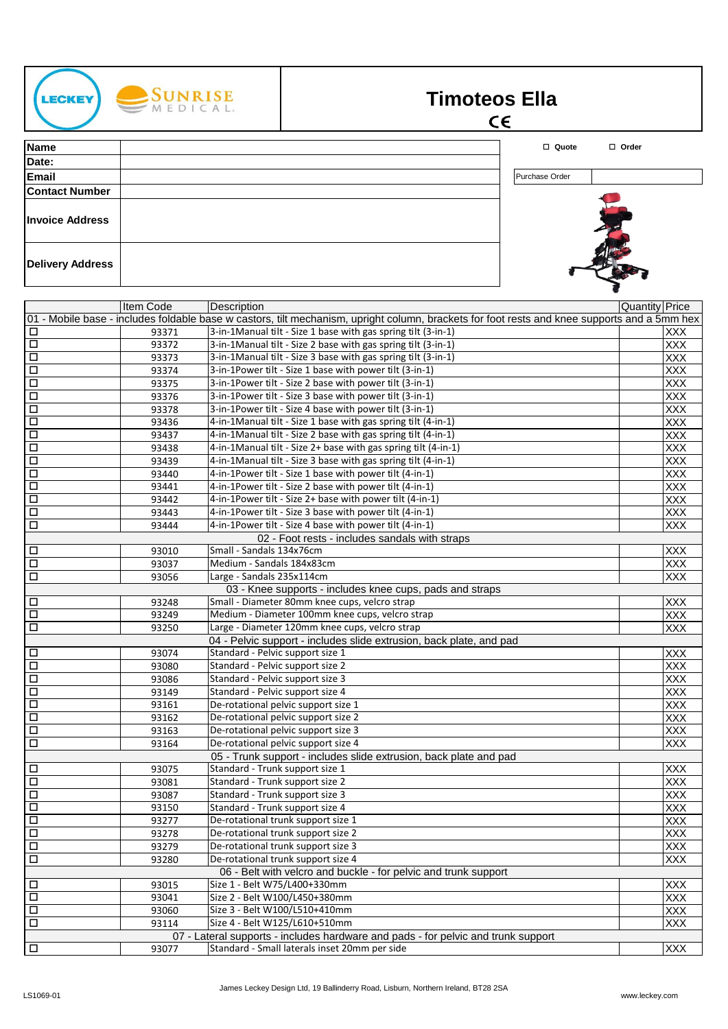| <b>LECKEY</b> |  |
|---------------|--|
|               |  |



## **Timoteos Ella**

## $\epsilon$

**Name** o **Quote** o **Order Date: Email** Purchase Order **Contact Number Invoice Address Delivery Address**